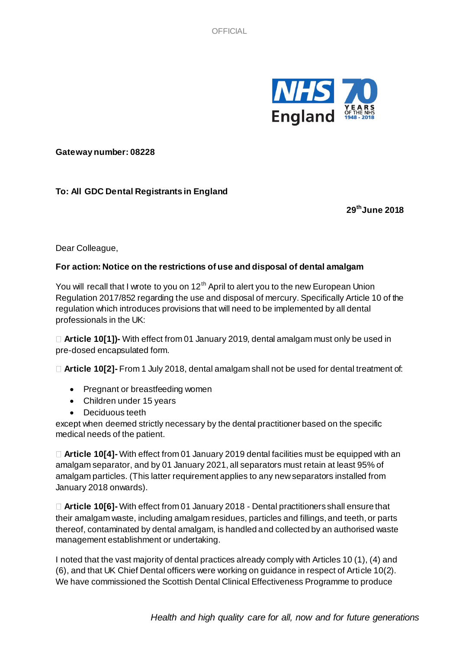

**Gateway number: 08228**

## **To: All GDC Dental Registrants in England**

**29thJune 2018**

Dear Colleague,

## **For action: Notice on the restrictions of use and disposal of dental amalgam**

You will recall that I wrote to you on 12<sup>th</sup> April to alert you to the new European Union Regulation 2017/852 regarding the use and disposal of mercury. Specifically Article 10 of the regulation which introduces provisions that will need to be implemented by all dental professionals in the UK:

**Article 10[1])-** With effect from 01 January 2019, dental amalgam must only be used in pre-dosed encapsulated form.

**Article 10[2]-** From 1 July 2018, dental amalgam shall not be used for dental treatment of:

- Pregnant or breastfeeding women
- Children under 15 years
- Deciduous teeth

except when deemed strictly necessary by the dental practitioner based on the specific medical needs of the patient.

**Article 10[4]-** With effect from 01 January 2019 dental facilities must be equipped with an amalgam separator, and by 01 January 2021, all separators must retain at least 95% of amalgam particles. (This latter requirement applies to any new separators installed from January 2018 onwards).

**Article 10[6]-** With effect from 01 January 2018 - Dental practitioners shall ensure that their amalgam waste, including amalgam residues, particles and fillings, and teeth, or parts thereof, contaminated by dental amalgam, is handled and collected by an authorised waste management establishment or undertaking.

I noted that the vast majority of dental practices already comply with Articles 10 (1), (4) and (6), and that UK Chief Dental officers were working on guidance in respect of Article 10(2). We have commissioned the Scottish Dental Clinical Effectiveness Programme to produce